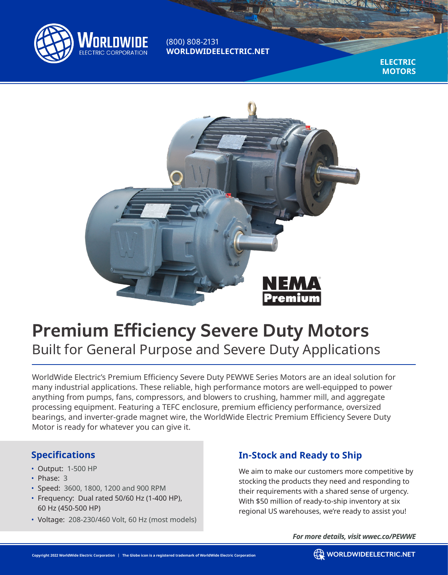

(800) 808-2131 **WORLDWIDEELECTRIC.NET**

> **ELECTRIC MOTORS**



# **Premium Efficiency Severe Duty Motors** Built for General Purpose and Severe Duty Applications

WorldWide Electric's Premium Efficiency Severe Duty PEWWE Series Motors are an ideal solution for many industrial applications. These reliable, high performance motors are well-equipped to power anything from pumps, fans, compressors, and blowers to crushing, hammer mill, and aggregate processing equipment. Featuring a TEFC enclosure, premium efficiency performance, oversized bearings, and inverter-grade magnet wire, the WorldWide Electric Premium Efficiency Severe Duty Motor is ready for whatever you can give it.

#### **Specifications**

- Output: 1-500 HP
- Phase: 3
- Speed: 3600, 1800, 1200 and 900 RPM
- Frequency: Dual rated 50/60 Hz (1-400 HP), 60 Hz (450-500 HP)
- Voltage: 208-230/460 Volt, 60 Hz (most models)

### **In-Stock and Ready to Ship**

We aim to make our customers more competitive by stocking the products they need and responding to their requirements with a shared sense of urgency. With \$50 million of ready-to-ship inventory at six regional US warehouses, we're ready to assist you!

*For more details, visit wwec.co/PEWWE*